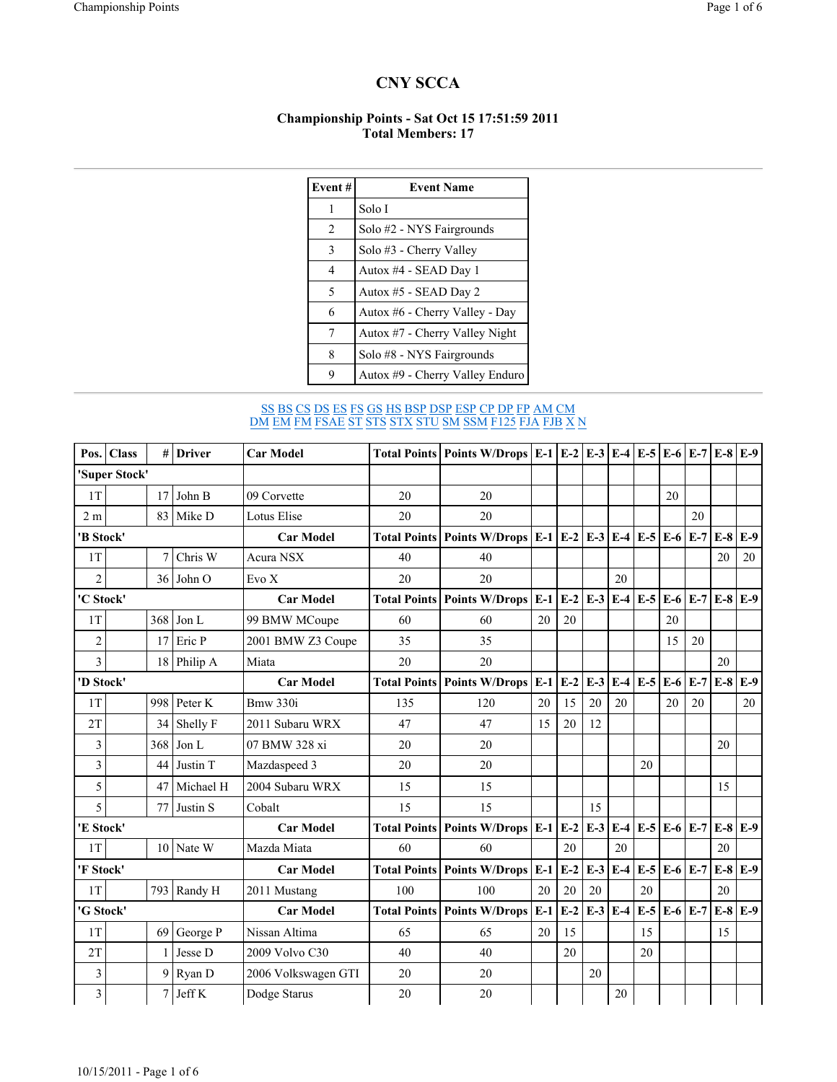## CNY SCCA

## Championship Points - Sat Oct 15 17:51:59 2011 Total Members: 17

| Event# | <b>Event Name</b>               |  |  |  |  |  |  |  |
|--------|---------------------------------|--|--|--|--|--|--|--|
| 1      | Solo I                          |  |  |  |  |  |  |  |
| 2      | Solo #2 - NYS Fairgrounds       |  |  |  |  |  |  |  |
| 3      | Solo #3 - Cherry Valley         |  |  |  |  |  |  |  |
| 4      | Autox #4 - SEAD Day 1           |  |  |  |  |  |  |  |
| 5      | Autox #5 - SEAD Day 2           |  |  |  |  |  |  |  |
| 6      | Autox #6 - Cherry Valley - Day  |  |  |  |  |  |  |  |
| 7      | Autox #7 - Cherry Valley Night  |  |  |  |  |  |  |  |
| 8      | Solo #8 - NYS Fairgrounds       |  |  |  |  |  |  |  |
| 9      | Autox #9 - Cherry Valley Enduro |  |  |  |  |  |  |  |

## <u>SS BS CS DS ES FS GS HS BSP DSP ESP CP DP FP AM CM</u> DM EM FM FSAE ST STS STX STU SM SSM F125 FJA FJB X N

|                | Pos.   Class  | #                | <b>Driver</b> | <b>Car Model</b>                                      |                     | Total Points   Points W/Drops   E-1   E-2   E-3   E-4   E-5   E-6   E-7 |       |       |       |        |             |       |             |       | $E-8$ $E-9$ |
|----------------|---------------|------------------|---------------|-------------------------------------------------------|---------------------|-------------------------------------------------------------------------|-------|-------|-------|--------|-------------|-------|-------------|-------|-------------|
|                | 'Super Stock' |                  |               |                                                       |                     |                                                                         |       |       |       |        |             |       |             |       |             |
| 1T             |               | 17               | John B        | 09 Corvette                                           | 20                  | 20                                                                      |       |       |       |        |             | 20    |             |       |             |
| 2m             |               | 83               | Mike D        | Lotus Elise                                           | 20                  | 20                                                                      |       |       |       |        |             |       | 20          |       |             |
| 'B Stock'      |               |                  |               | <b>Car Model</b>                                      |                     | Total Points   Points W/Drops   E-1   E-2   E-3                         |       |       |       | $E-4$  | $E-5$       | $E-6$ | $E-7$       | $E-8$ | $E-9$       |
| 1T             |               | 7                | Chris W       | Acura NSX                                             | 40                  | 40                                                                      |       |       |       |        |             |       |             | 20    | 20          |
| $\overline{2}$ |               | 36               | John O        | Evo X                                                 | 20                  | 20                                                                      |       |       |       | 20     |             |       |             |       |             |
| 'C Stock'      |               | <b>Car Model</b> |               | Total Points   Points W/Drops   E-1   E-2   E-3   E-4 |                     |                                                                         |       |       | $E-5$ | $E-6$  | $E-7$       | $E-8$ | $E-9$       |       |             |
| 1T             |               | 368              | Jon L         | 99 BMW MCoupe                                         | 60                  | 60                                                                      | 20    | 20    |       |        |             | 20    |             |       |             |
| $\overline{c}$ |               | 17               | Eric P        | 2001 BMW Z3 Coupe                                     | 35                  | 35                                                                      |       |       |       |        |             | 15    | 20          |       |             |
| 3              |               | 18               | Philip A      | Miata                                                 | 20                  | 20                                                                      |       |       |       |        |             |       |             | 20    |             |
| 'D Stock'      |               | <b>Car Model</b> |               | <b>Total Points   Points W/Drops  </b>                | $E-1$               | $E-2E-3E-4$                                                             |       |       | $E-5$ | $E-6$  | $E-7$       | $E-8$ | $E-9$       |       |             |
| 1T             |               | 998              | Peter K       | Bmw 330i                                              | 135                 | 120                                                                     | 20    | 15    | 20    | 20     |             | 20    | 20          |       | 20          |
| 2T             |               | 34               | Shelly F      | 2011 Subaru WRX                                       | 47                  | 47                                                                      | 15    | 20    | 12    |        |             |       |             |       |             |
| 3              |               | 368              | Jon L         | 07 BMW 328 xi                                         | 20                  | 20                                                                      |       |       |       |        |             |       |             | 20    |             |
| 3              |               | 44               | Justin T      | Mazdaspeed 3                                          | 20                  | 20                                                                      |       |       |       |        | 20          |       |             |       |             |
| 5              |               | 47               | Michael H     | 2004 Subaru WRX                                       | 15                  | 15                                                                      |       |       |       |        |             |       |             | 15    |             |
| 5              |               | 77               | Justin S      | Cobalt                                                | 15                  | 15                                                                      |       |       | 15    |        |             |       |             |       |             |
| 'E Stock'      |               |                  |               | <b>Car Model</b>                                      | <b>Total Points</b> | Points W/Drops $E-1$ $E-2$                                              |       |       | $E-3$ | $E-4$  | $E-5E-6E-7$ |       |             | $E-8$ | $E-9$       |
| 1T             |               |                  | 10 Nate W     | Mazda Miata                                           | 60                  | 60                                                                      |       | 20    |       | 20     |             |       |             | 20    |             |
| 'F Stock'      |               |                  |               | <b>Car Model</b>                                      |                     | <b>Total Points Points W/Drops</b>                                      | $E-1$ | $E-2$ | $E-3$ | $E-4$  | $E-5$       |       | $E-6$ $E-7$ | $E-8$ | $E-9$       |
| 1T             |               |                  | 793 Randy H   | 2011 Mustang                                          | 100                 | 100                                                                     | 20    | 20    | 20    |        | 20          |       |             | 20    |             |
| 'G Stock'      |               |                  |               | <b>Car Model</b>                                      |                     | <b>Total Points   Points W/Drops</b>                                    | $E-1$ | $E-2$ | $E-3$ | $E-4$  | $E-5$       |       | $E-6$ $E-7$ | $E-8$ | $E-9$       |
| 1T             |               | 69               | George P      | Nissan Altima                                         | 65                  | 65                                                                      | 20    | 15    |       |        | 15          |       |             | 15    |             |
| 2T             |               |                  | Jesse D       | 2009 Volvo C30                                        | 40                  | 40                                                                      |       | 20    |       |        | 20          |       |             |       |             |
| 3              |               | 9                | Ryan D        | 2006 Volkswagen GTI                                   | 20                  | 20                                                                      |       |       | 20    |        |             |       |             |       |             |
| $\mathfrak{Z}$ |               | 7                | Jeff K        | Dodge Starus                                          | 20                  | 20                                                                      |       |       |       | $20\,$ |             |       |             |       |             |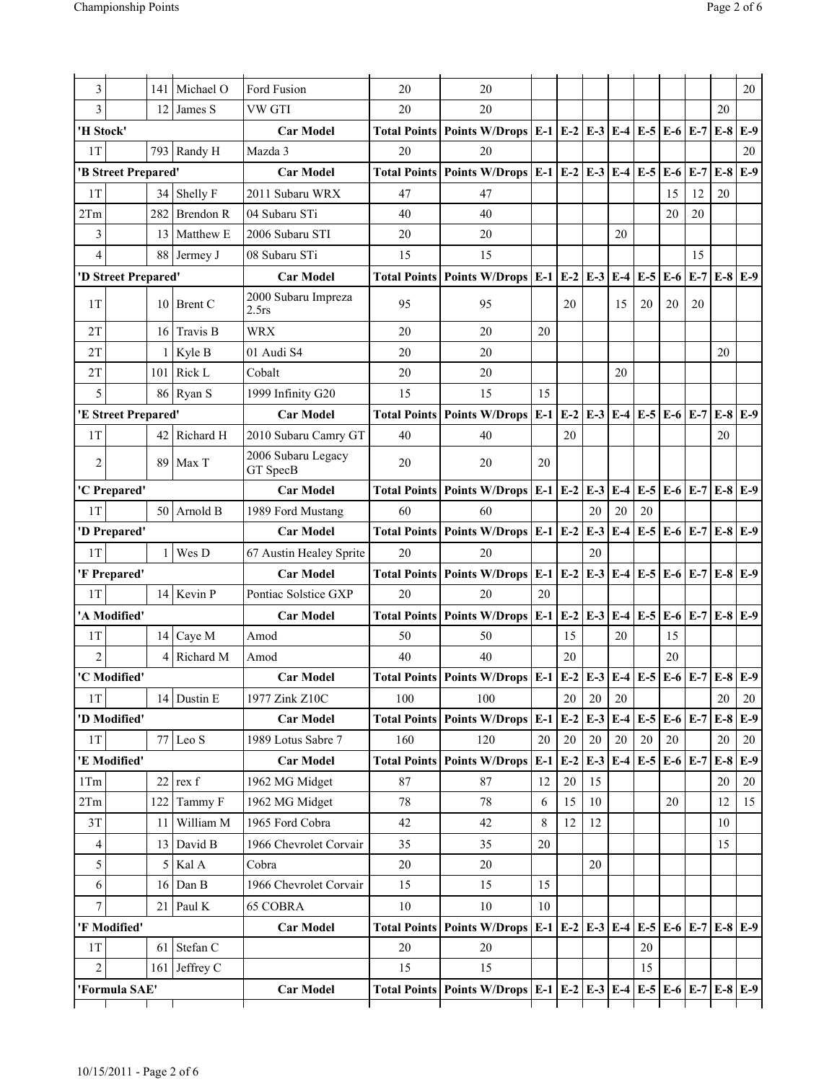| 3<br>3         |                     | 141<br>12      | Michael O<br>James S | Ford Fusion<br>VW GTI                  | 20<br>20                                                                            | 20<br>20                                                                            |       |                     |             |             |             |                   |             | 20          | 20          |
|----------------|---------------------|----------------|----------------------|----------------------------------------|-------------------------------------------------------------------------------------|-------------------------------------------------------------------------------------|-------|---------------------|-------------|-------------|-------------|-------------------|-------------|-------------|-------------|
| 'H Stock'      |                     |                |                      | <b>Car Model</b>                       | <b>Total Points</b>                                                                 | Points W/Drops $E-1$ $E-2$ $E-3$                                                    |       |                     |             |             | $E-4$ $E-5$ | $E-6$ $E-7$       |             | $E-8$       | $E-9$       |
| 1T             |                     |                | 793 Randy H          | Mazda 3                                | 20                                                                                  | 20                                                                                  |       |                     |             |             |             |                   |             |             | 20          |
|                | 'B Street Prepared' |                |                      | <b>Car Model</b>                       | <b>Total Points</b>                                                                 | Points W/Drops $\vert$ E-1 $\vert$ E-2 $\vert$ E-3 $\vert$                          |       |                     |             |             | $E-4$ $E-5$ | $E-6$             | $E-7$       | $E-8$       | $E-9$       |
| 1T             |                     |                | 34 Shelly F          | 2011 Subaru WRX                        | 47                                                                                  | 47                                                                                  |       |                     |             |             |             | 15                | 12          | 20          |             |
| 2Tm            |                     | 282            | <b>Brendon R</b>     | 04 Subaru STi                          | 40                                                                                  | 40                                                                                  |       |                     |             |             |             | 20                | 20          |             |             |
| 3              |                     | 13             | Matthew E            | 2006 Subaru STI                        | 20                                                                                  | 20                                                                                  |       |                     |             | 20          |             |                   |             |             |             |
| $\overline{4}$ |                     | 88             | Jermey J             | 08 Subaru STi                          | 15                                                                                  | 15                                                                                  |       |                     |             |             |             |                   | 15          |             |             |
|                | 'D Street Prepared' |                |                      | <b>Car Model</b>                       |                                                                                     | Total Points   Points W/Drops $E-1$ $E-2$ $E-3$                                     |       |                     |             |             | $E-4$ $E-5$ | $E-6$ $E-7$       |             | $E-8$ $E-9$ |             |
| 1T             |                     |                | 10 Brent C           | 2000 Subaru Impreza<br>$2.5$ rs        | 95                                                                                  | 95                                                                                  |       | 20                  |             | 15          | 20          | 20                | 20          |             |             |
| 2T             |                     | 16             | Travis B             | <b>WRX</b>                             | 20                                                                                  | 20                                                                                  | 20    |                     |             |             |             |                   |             |             |             |
| 2T             |                     | 1              | Kyle B               | 01 Audi S4                             | 20                                                                                  | 20                                                                                  |       |                     |             |             |             |                   |             | 20          |             |
| 2T             |                     | 101            | Rick L               | Cobalt                                 | 20                                                                                  | 20                                                                                  |       |                     |             | 20          |             |                   |             |             |             |
| 5              |                     |                | 86 Ryan S            | 1999 Infinity G20                      | 15                                                                                  | 15                                                                                  | 15    |                     |             |             |             |                   |             |             |             |
|                | 'E Street Prepared' |                |                      | <b>Car Model</b>                       | <b>Total Points</b>                                                                 | <b>Points W/Drops</b>                                                               | $E-1$ | $E-2$               | $E-3$       |             | $E-4$ $E-5$ | $E-6$             | $E-7$       | $E-8$       | $E-9$       |
| 1T             |                     | 42             | Richard H            | 2010 Subaru Camry GT                   | 40                                                                                  | 40                                                                                  |       | 20                  |             |             |             |                   |             | 20          |             |
| $\overline{2}$ |                     | 89             | Max T                | 2006 Subaru Legacy<br>GT SpecB         | 20                                                                                  | 20                                                                                  | 20    |                     |             |             |             |                   |             |             |             |
|                | 'C Prepared'        |                |                      | <b>Car Model</b>                       | <b>Total Points</b>                                                                 | Points W/Drops $E-1$ $E-2$                                                          |       |                     | $E-3$       |             | $E-4$ $E-5$ | $E-6$ $E-7$       |             | $E-8$       | $E-9$       |
| 1T             |                     |                | 50 Arnold B          | 1989 Ford Mustang                      | 60                                                                                  | 60                                                                                  |       |                     | 20          | 20          | 20          |                   |             |             |             |
|                | 'D Prepared'        |                |                      | <b>Car Model</b>                       | <b>Total Points</b>                                                                 | Points W/Drops $E-1$ $E-2$                                                          |       |                     | $E-3$       | $E-4$       | $E-5$       | $E-6$             | $E-7$       | $E-8$       | $E-9$       |
| 1T             |                     | 1              | Wes D                | 67 Austin Healey Sprite                | 20                                                                                  | 20                                                                                  |       |                     | 20          |             |             |                   |             |             |             |
|                | 'F Prepared'        |                |                      | <b>Car Model</b>                       | <b>Total Points</b>                                                                 | Points W/Drops $E-1 E-2 E-3 $                                                       |       |                     |             |             | $E-4$ $E-5$ | $E-6$ $E-7$       |             | $E-8$ $E-9$ |             |
| 1T             |                     | 14             | Kevin P              | Pontiac Solstice GXP                   | 20                                                                                  | 20                                                                                  | 20    |                     |             |             |             |                   |             |             |             |
|                | 'A Modified'        |                |                      | <b>Car Model</b>                       |                                                                                     | Total Points   Points W/Drops   E-1   E-2   E-3                                     |       |                     |             |             | $E-4$ $E-5$ | $E-6$             | $E-7$       | $E-8$ $E-9$ |             |
| 1T             |                     |                | 14 Caye M            | Amod                                   | 50                                                                                  | 50                                                                                  |       | 15                  |             | 20          |             | 15                |             |             |             |
| $\overline{2}$ |                     | $\overline{4}$ | Richard M            | Amod                                   | 40                                                                                  | 40                                                                                  |       | 20                  |             |             |             | 20                |             |             |             |
|                | 'C Modified'        |                |                      | <b>Car Model</b>                       |                                                                                     | Total Points   Points W/Drops   E-1   E-2   E-3   E-4   E-5   E-6   E-7   E-8   E-9 |       |                     |             |             |             |                   |             |             |             |
| 1T             |                     |                | 14 Dustin E          | 1977 Zink Z10C                         | 100                                                                                 | 100                                                                                 |       | 20                  | 20          | 20          |             |                   |             | 20          | 20          |
| $1\mathrm{T}$  | 'D Modified'        |                | 77 Leo S             | <b>Car Model</b>                       | <b>Total Points</b><br>160                                                          | Points W/Drops E-1<br>120                                                           | 20    | $E-2$               | $E-3$<br>20 | $E-4$<br>20 | $E-5$<br>20 | $E-6$ $E-7$<br>20 |             | $E-8$<br>20 | $E-9$<br>20 |
|                | 'E Modified'        |                |                      | 1989 Lotus Sabre 7<br><b>Car Model</b> | <b>Total Points</b>                                                                 | <b>Points W/Drops</b>                                                               | $E-1$ | $20\,$<br>$E-2$     | $E-3$       | $E-4$       | $E-5$       | $E-6$ $E-7$       |             | $E-8$       | $E-9$       |
| 1Tm            |                     | 22             | rex f                | 1962 MG Midget                         | 87                                                                                  | 87                                                                                  | 12    | $20\,$              | 15          |             |             |                   |             | 20          | $20\,$      |
| 2Tm            |                     | 122            | Tammy F              | 1962 MG Midget                         | 78                                                                                  | 78                                                                                  | 6     | 15                  | 10          |             |             | 20                |             | 12          | 15          |
| 3T             |                     | 11             | William M            | 1965 Ford Cobra                        | 42                                                                                  | 42                                                                                  | 8     | 12                  | 12          |             |             |                   |             | 10          |             |
| 4              |                     | 13             | David B              | 1966 Chevrolet Corvair                 | 35                                                                                  | 35                                                                                  | 20    |                     |             |             |             |                   |             | 15          |             |
| 5              |                     | 5              | Kal A                | Cobra                                  | 20                                                                                  | $20\,$                                                                              |       |                     | 20          |             |             |                   |             |             |             |
| 6              |                     | 16             | Dan B                | 1966 Chevrolet Corvair                 | 15                                                                                  | 15                                                                                  | 15    |                     |             |             |             |                   |             |             |             |
| $\overline{7}$ |                     | 21             | Paul K               | <b>65 COBRA</b>                        | 10                                                                                  | 10                                                                                  | 10    |                     |             |             |             |                   |             |             |             |
|                | 'F Modified'        |                |                      | <b>Car Model</b>                       | <b>Total Points</b>                                                                 | <b>Points W/Drops</b>                                                               |       | E-1 E-2 E-3 E-4 E-5 |             |             |             |                   | $E-6$ $E-7$ | $E-8$ $E-9$ |             |
| 1T             |                     | 61             | Stefan C             |                                        | 20                                                                                  | 20                                                                                  |       |                     |             |             | 20          |                   |             |             |             |
| $\overline{c}$ |                     | 161            | Jeffrey C            |                                        | 15                                                                                  | 15                                                                                  |       |                     |             |             | 15          |                   |             |             |             |
| 'Formula SAE'  |                     |                | <b>Car Model</b>     |                                        | Total Points   Points W/Drops   E-1   E-2   E-3   E-4   E-5   E-6   E-7   E-8   E-9 |                                                                                     |       |                     |             |             |             |                   |             |             |             |
|                |                     |                |                      |                                        |                                                                                     |                                                                                     |       |                     |             |             |             |                   |             |             |             |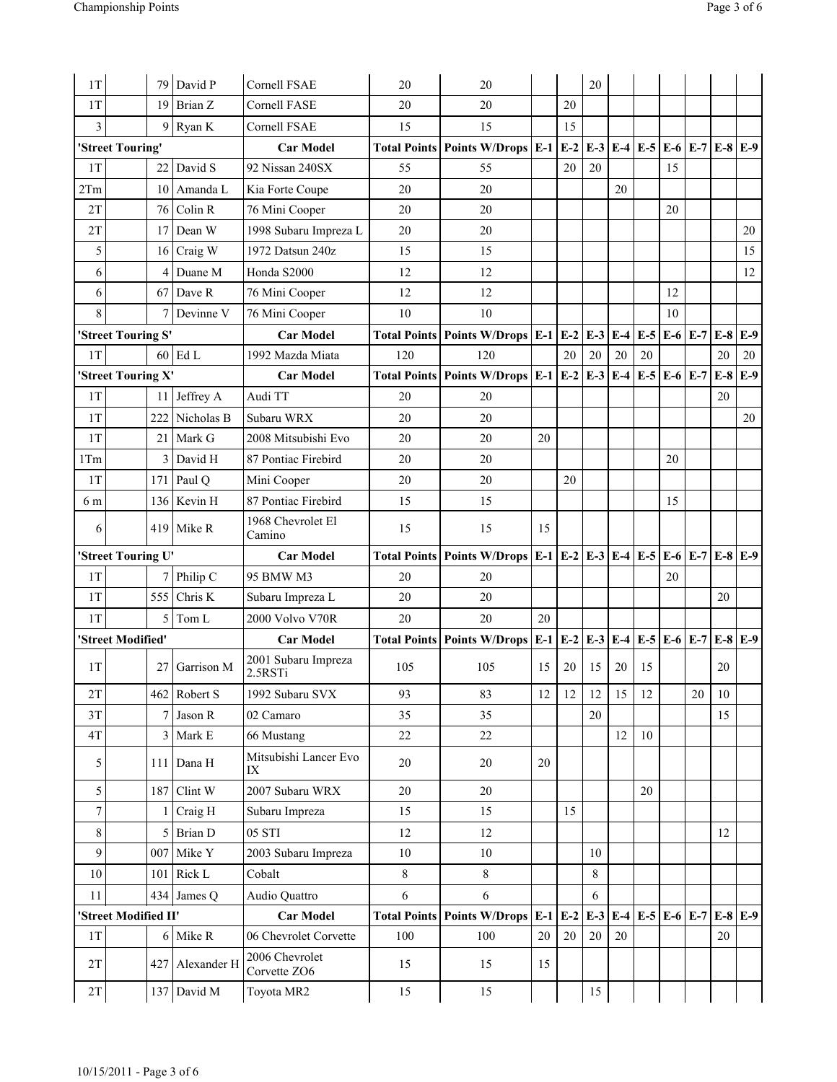| 1T                 | 79                   | David P        | Cornell FSAE                   | 20                  | 20                                                                      |    |       | 20          |                   |                 |             |       |       |             |
|--------------------|----------------------|----------------|--------------------------------|---------------------|-------------------------------------------------------------------------|----|-------|-------------|-------------------|-----------------|-------------|-------|-------|-------------|
| 1T                 | 19                   | Brian Z        | <b>Cornell FASE</b>            | 20                  | 20                                                                      |    | 20    |             |                   |                 |             |       |       |             |
| 3                  |                      | 9 Ryan K       | Cornell FSAE                   | 15                  | 15                                                                      |    | 15    |             |                   |                 |             |       |       |             |
|                    | 'Street Touring'     |                | <b>Car Model</b>               |                     | Total Points   Points W/Drops   E-1                                     |    | $E-2$ |             | $E-3$ $E-4$ $E-5$ |                 | $E-6$       | $E-7$ |       | $E-8$ $E-9$ |
| 1T                 | 22                   | David S        | 92 Nissan 240SX                | 55                  | 55                                                                      |    | 20    | 20          |                   |                 | 15          |       |       |             |
| 2Tm                | 10                   | Amanda L       | Kia Forte Coupe                | 20                  | 20                                                                      |    |       |             | 20                |                 |             |       |       |             |
| 2T                 | 76                   | Colin R        | 76 Mini Cooper                 | 20                  | 20                                                                      |    |       |             |                   |                 | 20          |       |       |             |
| 2T                 | 17                   | Dean W         | 1998 Subaru Impreza L          | 20                  | 20                                                                      |    |       |             |                   |                 |             |       |       | 20          |
| 5                  | 16                   | Craig W        | 1972 Datsun 240z               | 15                  | 15                                                                      |    |       |             |                   |                 |             |       |       | 15          |
| 6                  | 4                    | Duane M        | Honda S2000                    | 12                  | 12                                                                      |    |       |             |                   |                 |             |       |       | 12          |
| 6                  | 67                   | Dave R         | 76 Mini Cooper                 | 12                  | 12                                                                      |    |       |             |                   |                 | 12          |       |       |             |
| 8                  | 7                    | Devinne V      | 76 Mini Cooper                 | 10                  | 10                                                                      |    |       |             |                   |                 | 10          |       |       |             |
|                    | 'Street Touring S'   |                | <b>Car Model</b>               |                     | Total Points   Points W/Drops   E-1   E-2                               |    |       | $E-3$       |                   | $E-4$ $E-5$     | $E-6$ $E-7$ |       | $E-8$ | $E-9$       |
| 1T                 | 60 I                 | Ed L           | 1992 Mazda Miata               | 120                 | 120                                                                     |    | 20    | 20          | 20                | 20              |             |       | 20    | 20          |
|                    | 'Street Touring X'   |                | <b>Car Model</b>               |                     | Total Points   Points W/Drops   E-1   E-2                               |    |       | $E-3$       | $E-4$             | $E-5$           | $E-6$ $E-7$ |       | $E-8$ | $E-9$       |
| 1T                 | 11                   | Jeffrey A      | Audi TT                        | 20                  | 20                                                                      |    |       |             |                   |                 |             |       | 20    |             |
| 1T                 | 222                  | Nicholas B     | Subaru WRX                     | 20                  | 20                                                                      |    |       |             |                   |                 |             |       |       | 20          |
| 1T                 | 21                   | Mark G         | 2008 Mitsubishi Evo            | 20                  | 20                                                                      | 20 |       |             |                   |                 |             |       |       |             |
| 1Tm                | 3                    | David H        | 87 Pontiac Firebird            | 20                  | 20                                                                      |    |       |             |                   |                 | 20          |       |       |             |
| 1T                 | 171                  | Paul Q         | Mini Cooper                    | 20                  | 20                                                                      |    | 20    |             |                   |                 |             |       |       |             |
| 6 m                |                      | 136 Kevin H    | 87 Pontiac Firebird            | 15                  | 15                                                                      |    |       |             |                   |                 | 15          |       |       |             |
| 6                  | 419                  | Mike R         | 1968 Chevrolet El<br>Camino    | 15                  | 15                                                                      | 15 |       |             |                   |                 |             |       |       |             |
| 'Street Touring U' |                      |                |                                |                     |                                                                         |    |       |             |                   |                 |             |       |       |             |
|                    |                      |                | <b>Car Model</b>               | <b>Total Points</b> | Points W/Drops   E-1   E-2   E-3   E-4   E-5                            |    |       |             |                   |                 | $E-6$ $E-7$ |       |       | $E-8$ $E-9$ |
| 1T                 | 7                    | Philip C       | 95 BMW M3                      | 20                  | 20                                                                      |    |       |             |                   |                 | 20          |       |       |             |
| 1T                 | 555                  | Chris K        | Subaru Impreza L               | 20                  | 20                                                                      |    |       |             |                   |                 |             |       | 20    |             |
| 1T                 | 5                    | Tom L          | 2000 Volvo V70R                | 20                  | 20                                                                      | 20 |       |             |                   |                 |             |       |       |             |
|                    | 'Street Modified'    |                | <b>Car Model</b>               |                     | Total Points   Points W/Drops   E-1   E-2   E-3   E-4   E-5   E-6   E-7 |    |       |             |                   |                 |             |       |       | $E-8$ $E-9$ |
| 1T                 | 27                   | Garrison M     | 2001 Subaru Impreza<br>2.5RSTi | 105                 | 105                                                                     | 15 | 20    | 15          | 20                | 15              |             |       | 20    |             |
| 2T                 |                      | 462 Robert S   | 1992 Subaru SVX                | 93                  | 83                                                                      | 12 | 12    | 12          | 15                | 12              |             | 20    | 10    |             |
| 3T                 | 7                    | Jason R        | 02 Camaro                      | 35                  | 35                                                                      |    |       | 20          |                   |                 |             |       | 15    |             |
| 4T                 | 3                    | Mark E         | 66 Mustang                     | 22                  | 22                                                                      |    |       |             | 12                | 10              |             |       |       |             |
| 5                  | 111                  | Dana H         | Mitsubishi Lancer Evo<br>IX    | 20                  | 20                                                                      | 20 |       |             |                   |                 |             |       |       |             |
| 5                  |                      | 187 Clint W    | 2007 Subaru WRX                | 20                  | 20                                                                      |    |       |             |                   | 20              |             |       |       |             |
| $\boldsymbol{7}$   |                      | Craig H        | Subaru Impreza                 | 15                  | 15                                                                      |    | 15    |             |                   |                 |             |       |       |             |
| $\,8\,$            | 5                    | <b>Brian D</b> | 05 STI                         | 12                  | 12                                                                      |    |       |             |                   |                 |             |       | 12    |             |
| 9                  | 007                  | Mike Y         | 2003 Subaru Impreza            | 10                  | $10\,$                                                                  |    |       | 10          |                   |                 |             |       |       |             |
| 10                 | 101                  | Rick L         | Cobalt                         | 8                   | 8                                                                       |    |       | $\,$ 8 $\,$ |                   |                 |             |       |       |             |
| 11                 |                      | 434 James Q    | Audio Quattro                  | 6                   | 6                                                                       |    |       | 6           |                   |                 |             |       |       |             |
|                    | 'Street Modified II' |                | <b>Car Model</b>               | <b>Total Points</b> | Points W/Drops $E-1$ $E-2$                                              |    |       | $E-3$       |                   | E-4 E-5 E-6 E-7 |             |       |       | $E-8$ $E-9$ |
| 1T                 |                      | 6 Mike R       | 06 Chevrolet Corvette          | 100                 | 100                                                                     | 20 | 20    | 20          | 20                |                 |             |       | 20    |             |
| 2T                 | 427                  | Alexander H    | 2006 Chevrolet<br>Corvette ZO6 | 15                  | 15                                                                      | 15 |       |             |                   |                 |             |       |       |             |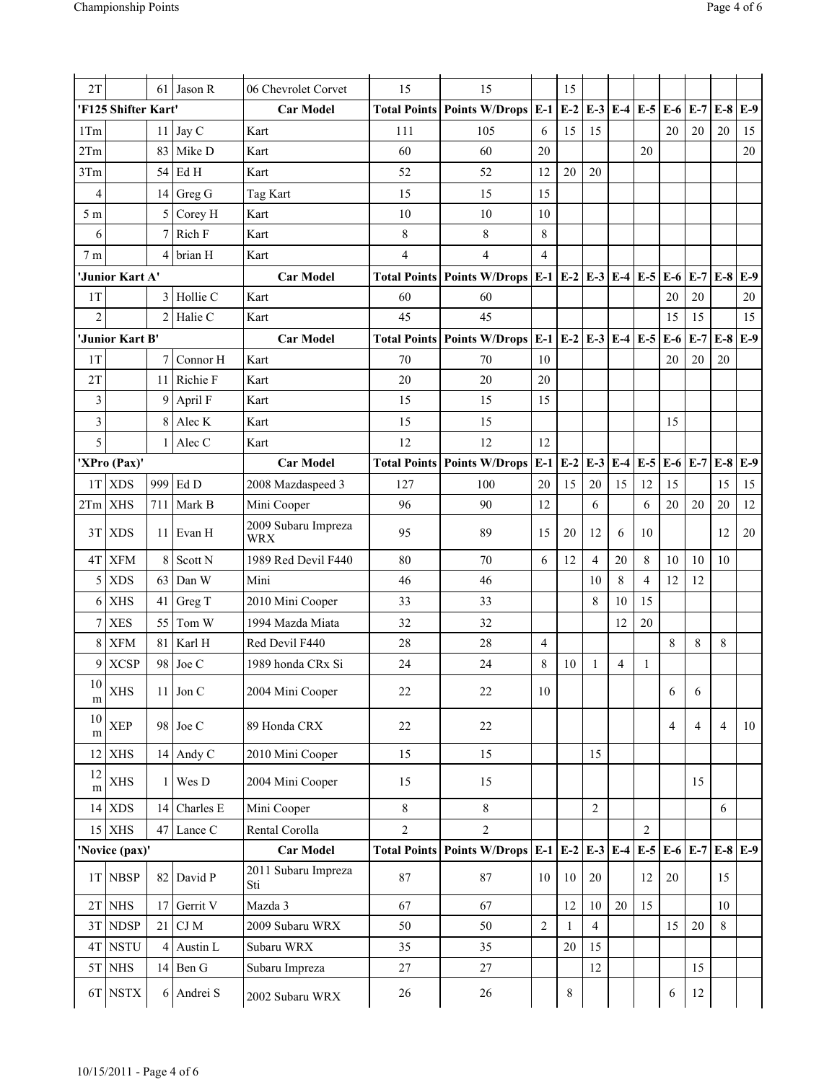| 2T             |                     | 61             | Jason R    | 06 Chevrolet Corvet               | 15             | 15                                        |                | 15           |                |                   |                   |                |                |                |       |
|----------------|---------------------|----------------|------------|-----------------------------------|----------------|-------------------------------------------|----------------|--------------|----------------|-------------------|-------------------|----------------|----------------|----------------|-------|
|                | 'F125 Shifter Kart' |                |            | <b>Car Model</b>                  |                | <b>Total Points Points W/Drops</b>        | $E-1$          | $E-2$        | $E-3$ $E-4$    |                   | $E-5$             | $E-6$          | $E-7$          | $E-8$          | $E-9$ |
| 1Tm            |                     | 11             | Jay C      | Kart                              | 111            | 105                                       | 6              | 15           | 15             |                   |                   | 20             | 20             | 20             | 15    |
| 2Tm            |                     | 83             | Mike D     | Kart                              | 60             | 60                                        | 20             |              |                |                   | 20                |                |                |                | 20    |
| 3Tm            |                     | 54             | Ed H       | Kart                              | 52             | 52                                        | 12             | 20           | 20             |                   |                   |                |                |                |       |
| $\overline{4}$ |                     | 14             | Greg G     | Tag Kart                          | 15             | 15                                        | 15             |              |                |                   |                   |                |                |                |       |
| 5 <sub>m</sub> |                     | 5              | Corey H    | Kart                              | 10             | 10                                        | 10             |              |                |                   |                   |                |                |                |       |
| 6              |                     |                | Rich F     | Kart                              | 8              | 8                                         | 8              |              |                |                   |                   |                |                |                |       |
| 7 <sub>m</sub> |                     | 4              | brian H    | Kart                              | $\overline{4}$ | $\overline{4}$                            | $\overline{4}$ |              |                |                   |                   |                |                |                |       |
|                | 'Junior Kart A'     |                |            | <b>Car Model</b>                  |                | <b>Total Points   Points W/Drops  </b>    |                | $E-1$ $E-2$  |                | E-3 E-4 E-5 E-6   |                   |                | $E-7$          | $E-8$          | $E-9$ |
| 1T             |                     | 3              | Hollie C   | Kart                              | 60             | 60                                        |                |              |                |                   |                   | 20             | 20             |                | 20    |
| $\overline{2}$ |                     | $\overline{c}$ | Halie C    | Kart                              | 45             | 45                                        |                |              |                |                   |                   | 15             | 15             |                | 15    |
|                | 'Junior Kart B'     |                |            | <b>Car Model</b>                  |                | <b>Total Points Points W/Drops</b>        |                | $E-1$ $E-2$  |                | $E-3$ $E-4$ $E-5$ |                   | $E-6$          | $E-7$          | $E-8$          | $E-9$ |
| 1T             |                     | 7              | Connor H   | Kart                              | 70             | 70                                        | 10             |              |                |                   |                   | 20             | 20             | 20             |       |
| 2T             |                     | 11             | Richie F   | Kart                              | 20             | 20                                        | 20             |              |                |                   |                   |                |                |                |       |
| 3              |                     | 9              | April F    | Kart                              | 15             | 15                                        | 15             |              |                |                   |                   |                |                |                |       |
| $\mathfrak{Z}$ |                     | 8              | Alec K     | Kart                              | 15             | 15                                        |                |              |                |                   |                   | 15             |                |                |       |
| 5              |                     | 1              | Alec C     | Kart                              | 12             | 12                                        | 12             |              |                |                   |                   |                |                |                |       |
|                | 'XPro (Pax)'        |                |            | <b>Car Model</b>                  |                | <b>Total Points   Points W/Drops</b>      | $E-1$          | $E-2$        | $E-3$          | $E-4$             | $E-5$             | E-6            | $E-7$          | $E-8$          | $E-9$ |
|                | $1T$ XDS            | 999            | Ed D       | 2008 Mazdaspeed 3                 | 127            | 100                                       | 20             | 15           | 20             | 15                | 12                | 15             |                | 15             | 15    |
|                | $2Tm$ XHS           | 711            | Mark B     | Mini Cooper                       | 96             | 90                                        | 12             |              | 6              |                   | 6                 | 20             | 20             | 20             | 12    |
|                | $3T$ $XDS$          | 11             | Evan H     | 2009 Subaru Impreza<br><b>WRX</b> | 95             | 89                                        | 15             | 20           | 12             | 6                 | 10                |                |                | 12             | 20    |
| 4T             | <b>XFM</b>          | 8              | Scott N    | 1989 Red Devil F440               | 80             | 70                                        | 6              | 12           | $\overline{4}$ | 20                | 8                 | 10             | 10             | 10             |       |
| 5 <sup>1</sup> | <b>XDS</b>          | 63             | Dan W      | Mini                              | 46             | 46                                        |                |              | 10             | 8                 | $\overline{4}$    | 12             | 12             |                |       |
| 6              | <b>XHS</b>          | 41             | Greg T     | 2010 Mini Cooper                  | 33             | 33                                        |                |              | 8              | 10                | 15                |                |                |                |       |
| $\tau$         | <b>XES</b>          | 55             | Tom W      | 1994 Mazda Miata                  | 32             | 32                                        |                |              |                | 12                | 20                |                |                |                |       |
| 8 <sup>1</sup> | <b>XFM</b>          | 81             | Karl H     | Red Devil F440                    | 28             | 28                                        | 4              |              |                |                   |                   | 8              | $\,$ 8 $\,$    | 8              |       |
|                | $9$ $XCSP$          | 98             | Joe C      | 1989 honda CRx Si                 | 24             | 24                                        | 8              | 10           | $\mathbf{1}$   | $\overline{4}$    | 1                 |                |                |                |       |
| 10<br>m        | <b>XHS</b>          | 11             | Jon C      | 2004 Mini Cooper                  | 22             | 22                                        | $10\,$         |              |                |                   |                   | 6              | 6              |                |       |
| 10<br>m        | <b>XEP</b>          |                | 98 Joe C   | 89 Honda CRX                      | 22             | 22                                        |                |              |                |                   |                   | $\overline{4}$ | $\overline{4}$ | $\overline{4}$ | 10    |
|                | $12$ XHS            |                | 14 Andy C  | 2010 Mini Cooper                  | 15             | 15                                        |                |              | 15             |                   |                   |                |                |                |       |
| 12<br>m        | <b>XHS</b>          |                | Wes D      | 2004 Mini Cooper                  | 15             | 15                                        |                |              |                |                   |                   |                | 15             |                |       |
|                | $14$ XDS            | 14             | Charles E  | Mini Cooper                       | 8              | $\,8\,$                                   |                |              | $\overline{2}$ |                   |                   |                |                | 6              |       |
|                | $15$ XHS            |                | 47 Lance C | Rental Corolla                    | $\overline{c}$ | $\overline{2}$                            |                |              |                |                   | $\overline{2}$    |                |                |                |       |
|                | 'Novice (pax)'      |                |            | <b>Car Model</b>                  |                | Total Points   Points W/Drops   E-1   E-2 |                |              | $E-3$ $E-4$    |                   | $E-5$ $E-6$ $E-7$ |                |                | $E-8$ $E-9$    |       |
|                | 1T NBSP             |                | 82 David P | 2011 Subaru Impreza<br>Sti        | $87\,$         | $87\,$                                    | 10             | $10\,$       | $20\,$         |                   | 12                | $20\,$         |                | 15             |       |
|                | $2T$ NHS            | 17             | Gerrit V   | Mazda 3                           | 67             | 67                                        |                | 12           | 10             | 20                | 15                |                |                | 10             |       |
|                | 3T NDSP             | 21             | $\rm CJ~M$ | 2009 Subaru WRX                   | 50             | 50                                        | $\overline{2}$ | $\mathbf{1}$ | $\overline{4}$ |                   |                   | 15             | 20             | 8              |       |
|                | 4T NSTU             | 4              | Austin L   | Subaru WRX                        | 35             | 35                                        |                | 20           | 15             |                   |                   |                |                |                |       |
|                | $5T$ NHS            |                | 14 Ben G   | Subaru Impreza                    | 27             | 27                                        |                |              | 12             |                   |                   |                | 15             |                |       |
|                | 6T NSTX             | 6              | Andrei S   | 2002 Subaru WRX                   | 26             | 26                                        |                | 8            |                |                   |                   | 6              | 12             |                |       |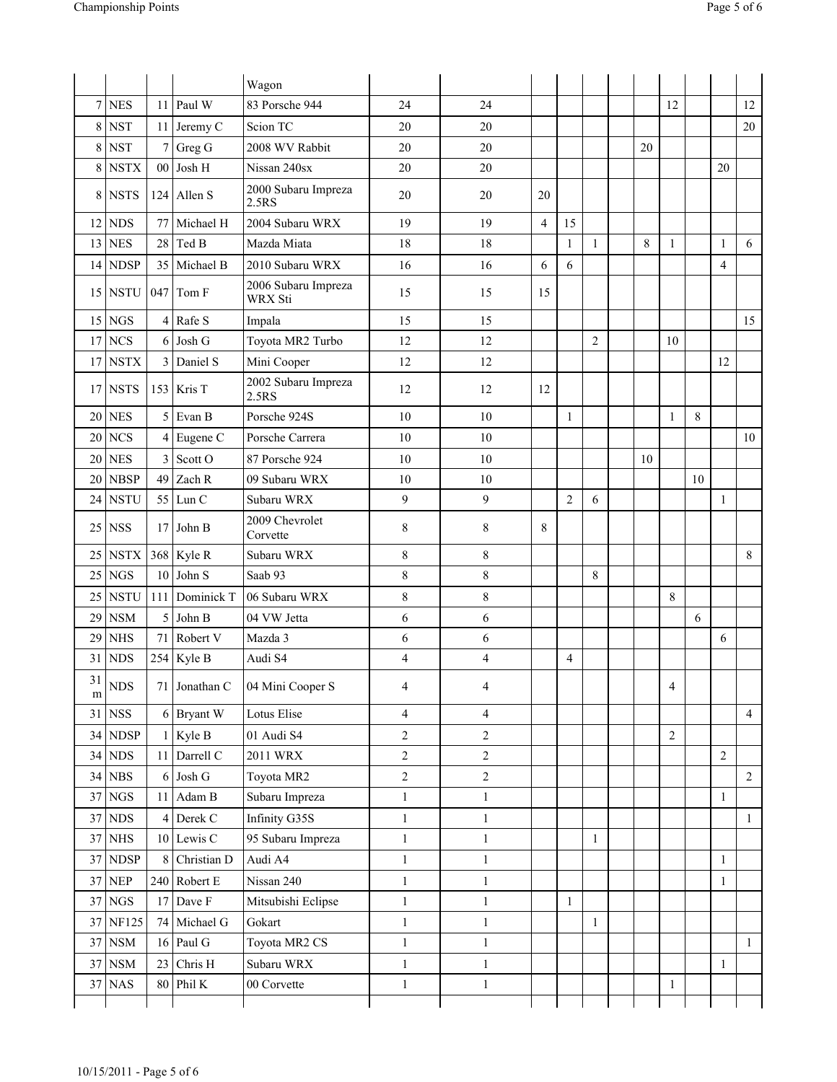|                 |                              |    |                | Wagon                          |                |                  |                |                |                |    |                |    |                |                |
|-----------------|------------------------------|----|----------------|--------------------------------|----------------|------------------|----------------|----------------|----------------|----|----------------|----|----------------|----------------|
| $\overline{7}$  | <b>NES</b>                   |    | 11 Paul W      | 83 Porsche 944                 | 24             | 24               |                |                |                |    | 12             |    |                | 12             |
| 8               | <b>NST</b>                   |    | 11 Jeremy C    | Scion TC                       | 20             | 20               |                |                |                |    |                |    |                | 20             |
| 8               | <b>NST</b>                   |    | 7 Greg G       | 2008 WV Rabbit                 | 20             | $20\,$           |                |                |                | 20 |                |    |                |                |
| 8               | <b>NSTX</b>                  |    | 00 Josh H      | Nissan 240sx                   | 20             | 20               |                |                |                |    |                |    | 20             |                |
|                 | $8$ NSTS                     |    | 124 Allen S    | 2000 Subaru Impreza<br>2.5RS   | 20             | 20               | 20             |                |                |    |                |    |                |                |
| 12              | <b>NDS</b>                   |    | 77 Michael H   | 2004 Subaru WRX                | 19             | 19               | $\overline{4}$ | 15             |                |    |                |    |                |                |
| 13              | <b>NES</b>                   |    | $28$ Ted B     | Mazda Miata                    | 18             | 18               |                | $\mathbf{1}$   | $\mathbf{1}$   | 8  | $\mathbf{1}$   |    | 1              | 6              |
| 14              | <b>NDSP</b>                  |    | 35 Michael B   | 2010 Subaru WRX                | 16             | 16               | 6              | 6              |                |    |                |    | 4              |                |
|                 | $15$ NSTU                    |    | $047$ Tom F    | 2006 Subaru Impreza<br>WRX Sti | 15             | 15               | 15             |                |                |    |                |    |                |                |
| 15              | <b>NGS</b>                   |    | 4 Rafe S       | Impala                         | 15             | 15               |                |                |                |    |                |    |                | 15             |
| 17              | <b>NCS</b>                   |    | 6 Josh G       | Toyota MR2 Turbo               | 12             | 12               |                |                | $\overline{2}$ |    | 10             |    |                |                |
| 17              | <b>NSTX</b>                  |    | 3 Daniel S     | Mini Cooper                    | 12             | 12               |                |                |                |    |                |    | 12             |                |
| 17              | <b>NSTS</b>                  |    | 153 Kris $T$   | 2002 Subaru Impreza<br>2.5RS   | 12             | 12               | 12             |                |                |    |                |    |                |                |
| 20              | <b>NES</b>                   |    | $5$ Evan B     | Porsche 924S                   | 10             | 10               |                | $\mathbf{1}$   |                |    | $\mathbf{1}$   | 8  |                |                |
| $20\,$          | <b>NCS</b>                   |    | 4 Eugene C     | Porsche Carrera                | $10\,$         | $10\,$           |                |                |                |    |                |    |                | 10             |
| 20              | <b>NES</b>                   |    | 3 Scott O      | 87 Porsche 924                 | $10\,$         | $10\,$           |                |                |                | 10 |                |    |                |                |
| 20              | <b>NBSP</b>                  |    | 49 Zach R      | 09 Subaru WRX                  | $10\,$         | $10\,$           |                |                |                |    |                | 10 |                |                |
| 24              | <b>NSTU</b>                  |    | $55$ Lun C     | Subaru WRX                     | 9              | 9                |                | $\overline{2}$ | 6              |    |                |    | 1              |                |
| 25              | <b>NSS</b>                   |    | 17 John B      | 2009 Chevrolet<br>Corvette     | 8              | 8                | 8              |                |                |    |                |    |                |                |
| 25              | NSTX                         |    | 368 Kyle R     | Subaru WRX                     | $\,8\,$        | 8                |                |                |                |    |                |    |                | 8              |
| 25              | <b>NGS</b>                   |    | 10 John S      | Saab 93                        | $\,8\,$        | $\,8\,$          |                |                | 8              |    |                |    |                |                |
| 25              | <b>NSTU</b>                  |    | 111 Dominick T | 06 Subaru WRX                  | $\,8\,$        | $\,8\,$          |                |                |                |    | 8              |    |                |                |
| 29              | <b>NSM</b>                   |    | 5 John B       | 04 VW Jetta                    | 6              | 6                |                |                |                |    |                | 6  |                |                |
| 29              | <b>NHS</b>                   |    | 71 Robert V    | Mazda 3                        | 6              | 6                |                |                |                |    |                |    | 6              |                |
| 31              | <b>NDS</b>                   |    | 254 Kyle B     | Audi S4                        | $\overline{4}$ | $\overline{4}$   |                | $\overline{4}$ |                |    |                |    |                |                |
| 31<br>${\rm m}$ | ${\rm NDS}$                  |    | 71 Jonathan C  | 04 Mini Cooper S               | 4              | 4                |                |                |                |    | 4              |    |                |                |
| 31              | <b>NSS</b>                   |    | 6 Bryant W     | Lotus Elise                    | $\overline{4}$ | 4                |                |                |                |    |                |    |                | $\overline{4}$ |
| 34              | <b>NDSP</b>                  |    | $1$ Kyle B     | 01 Audi S4                     | $\overline{c}$ | $\overline{2}$   |                |                |                |    | $\overline{c}$ |    |                |                |
| 34              | ${\rm NDS}$                  |    | 11 Darrell C   | 2011 WRX                       | $\overline{c}$ | $\overline{2}$   |                |                |                |    |                |    | $\overline{2}$ |                |
| 34              | ${\rm NBS}$                  |    | $6$ Josh G     | Toyota MR2                     | $\overline{c}$ | $\boldsymbol{2}$ |                |                |                |    |                |    |                | $\overline{2}$ |
|                 | $37$ NGS                     | 11 | Adam B         | Subaru Impreza                 | $\,1$          | $\mathbf{1}$     |                |                |                |    |                |    | $\mathbf{1}$   |                |
| 37              | ${\rm NDS}$                  |    | 4 Derek C      | Infinity G35S                  | $\mathbf{1}$   | $\mathbf{1}$     |                |                |                |    |                |    |                | $\mathbf{1}$   |
| 37              | <b>NHS</b>                   |    | 10 Lewis C     | 95 Subaru Impreza              | $1\,$          | $\,1$            |                |                | $\mathbf{1}$   |    |                |    |                |                |
| 37              | $\ensuremath{\mathsf{NDSP}}$ | 8  | Christian D    | Audi A4                        | $1\,$          | $\mathbf{1}$     |                |                |                |    |                |    | $\mathbf{1}$   |                |
| 37              | $\ensuremath{\mathsf{NEP}}$  |    | 240 Robert E   | Nissan 240                     | $\mathbf{1}$   | $\mathbf{1}$     |                |                |                |    |                |    | $\mathbf{1}$   |                |
| 37              | NGS                          | 17 | Dave F         | Mitsubishi Eclipse             | $\,1$          | $\mathbf{1}$     |                | $\mathbf{1}$   |                |    |                |    |                |                |
| 37              | <b>NF125</b>                 |    | 74 Michael G   | Gokart                         | $\mathbf{1}$   | $\mathbf{1}$     |                |                | 1              |    |                |    |                |                |
| 37              | $_{\rm NSM}$                 |    | 16 Paul G      | Toyota MR2 CS                  | $\mathbf{1}$   | $\mathbf{1}$     |                |                |                |    |                |    |                | $\mathbf{1}$   |
| 37              | $_{\rm NSM}$                 | 23 | Chris H        | Subaru WRX                     | $\mathbf{1}$   | $\mathbf{1}$     |                |                |                |    |                |    | $\mathbf{1}$   |                |
| 37              | <b>NAS</b>                   | 80 | Phil K         | 00 Corvette                    | $\mathbf{1}$   | $\mathbf{1}$     |                |                |                |    | $\mathbf{1}$   |    |                |                |
|                 |                              |    |                |                                |                |                  |                |                |                |    |                |    |                |                |